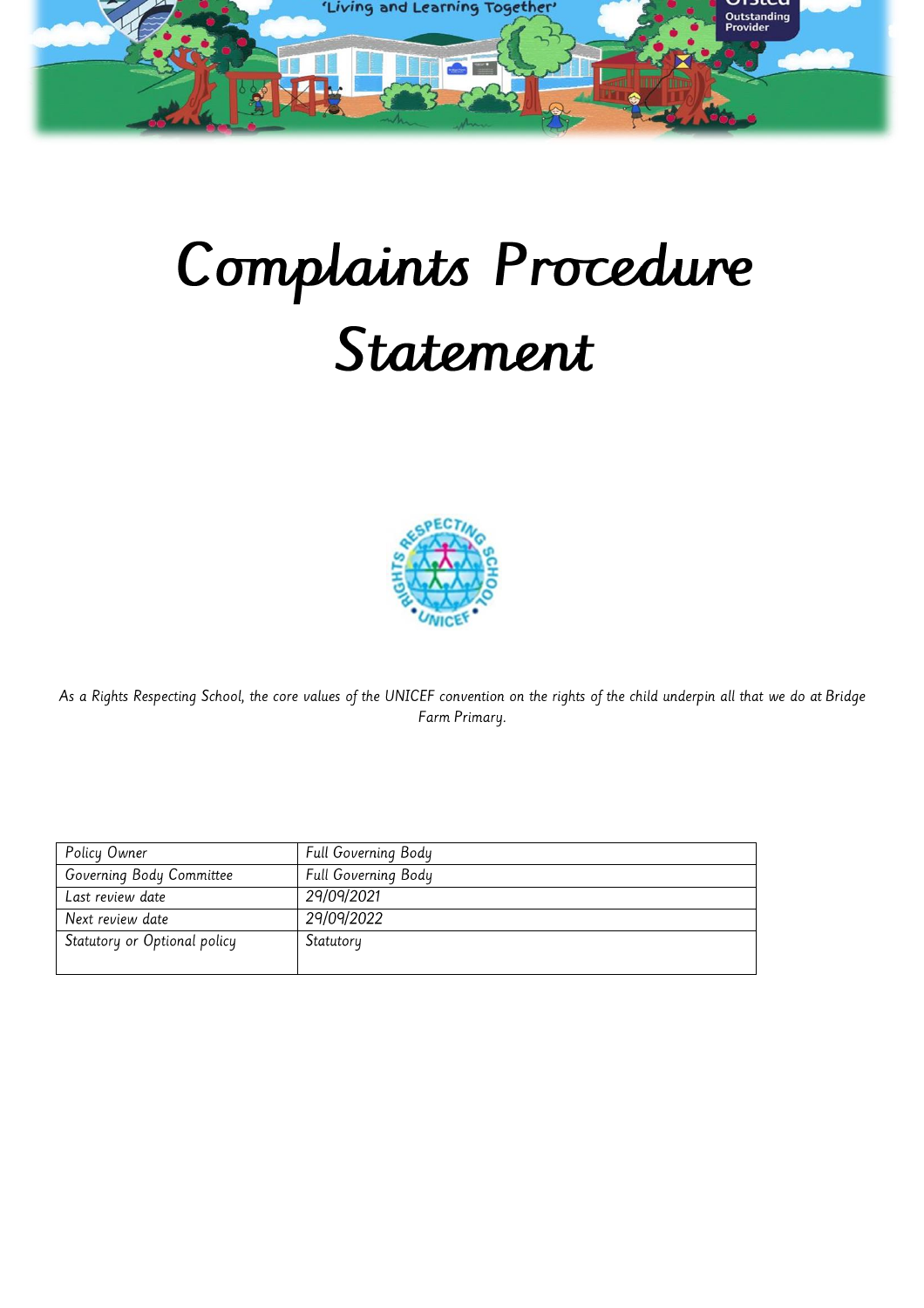

# Complaints Procedure Statement



As a Rights Respecting School, the core values of the UNICEF convention on the rights of the child underpin all that we do at Bridge Farm Primary.

| Policy Owner                 | Full Governing Body |
|------------------------------|---------------------|
| Governing Body Committee     | Full Governing Body |
| Last review date             | 29/09/2021          |
| Next review date             | 29/09/2022          |
| Statutory or Optional policy | Statutory           |
|                              |                     |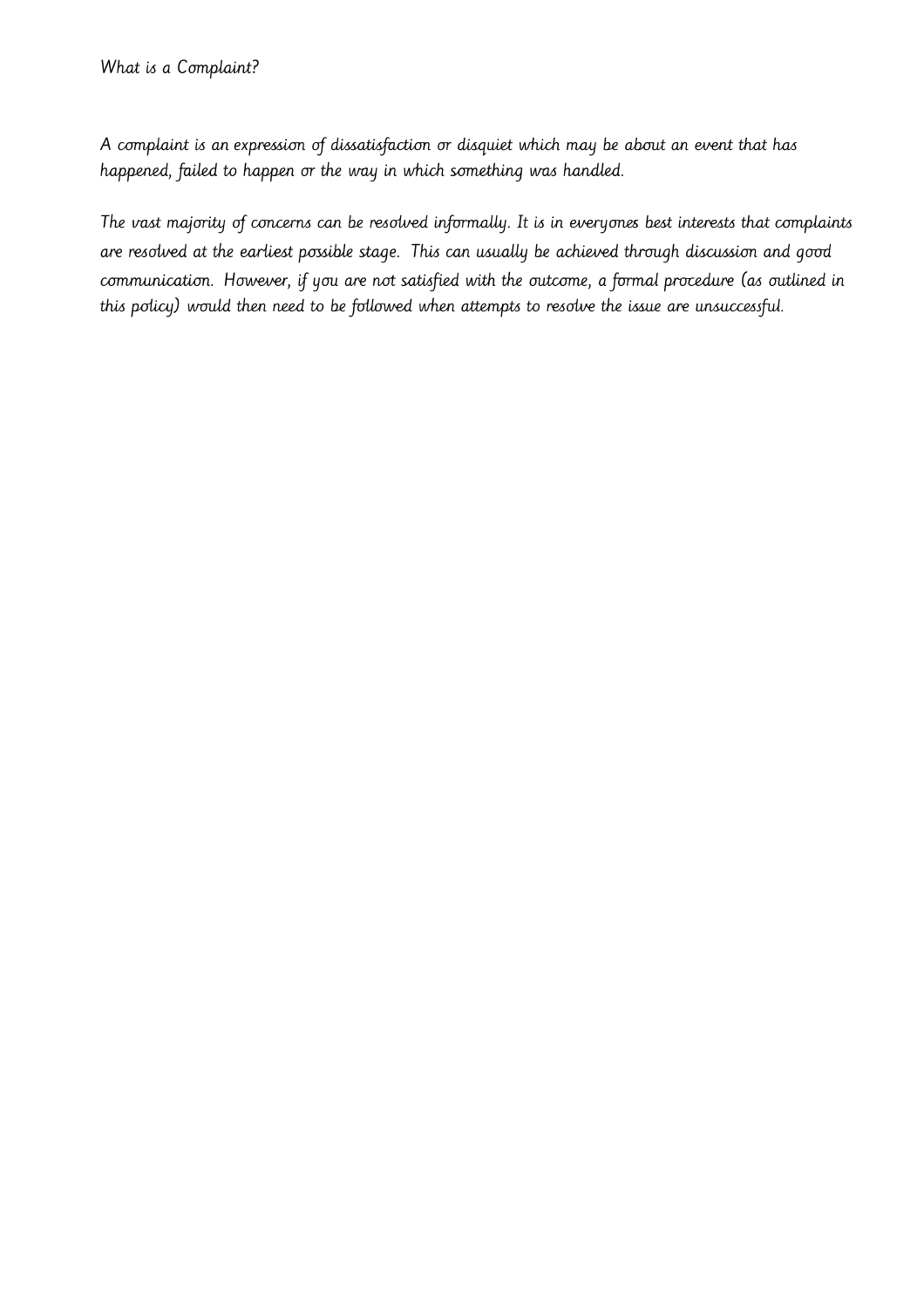A complaint is an expression of dissatisfaction or disquiet which may be about an event that has happened, failed to happen or the way in which something was handled.

The vast majority of concerns can be resolved informally. It is in everyones best interests that complaints are resolved at the earliest possible stage. This can usually be achieved through discussion and good communication. However, if you are not satisfied with the outcome, a formal procedure (as outlined in this policy) would then need to be followed when attempts to resolve the issue are unsuccessful.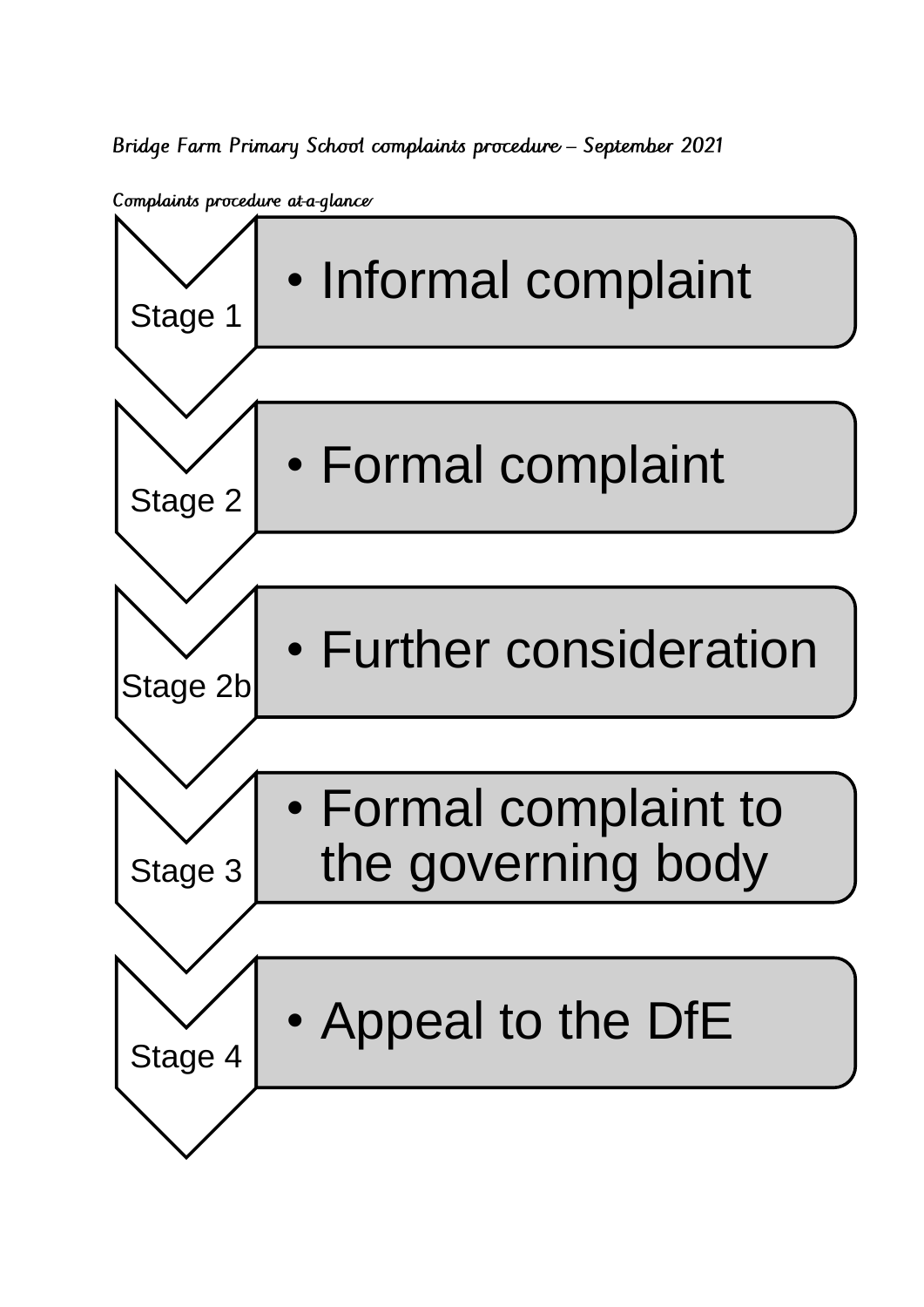Bridge Farm Primary School complaints procedure - September 2021

Complaints procedure at-a-glance

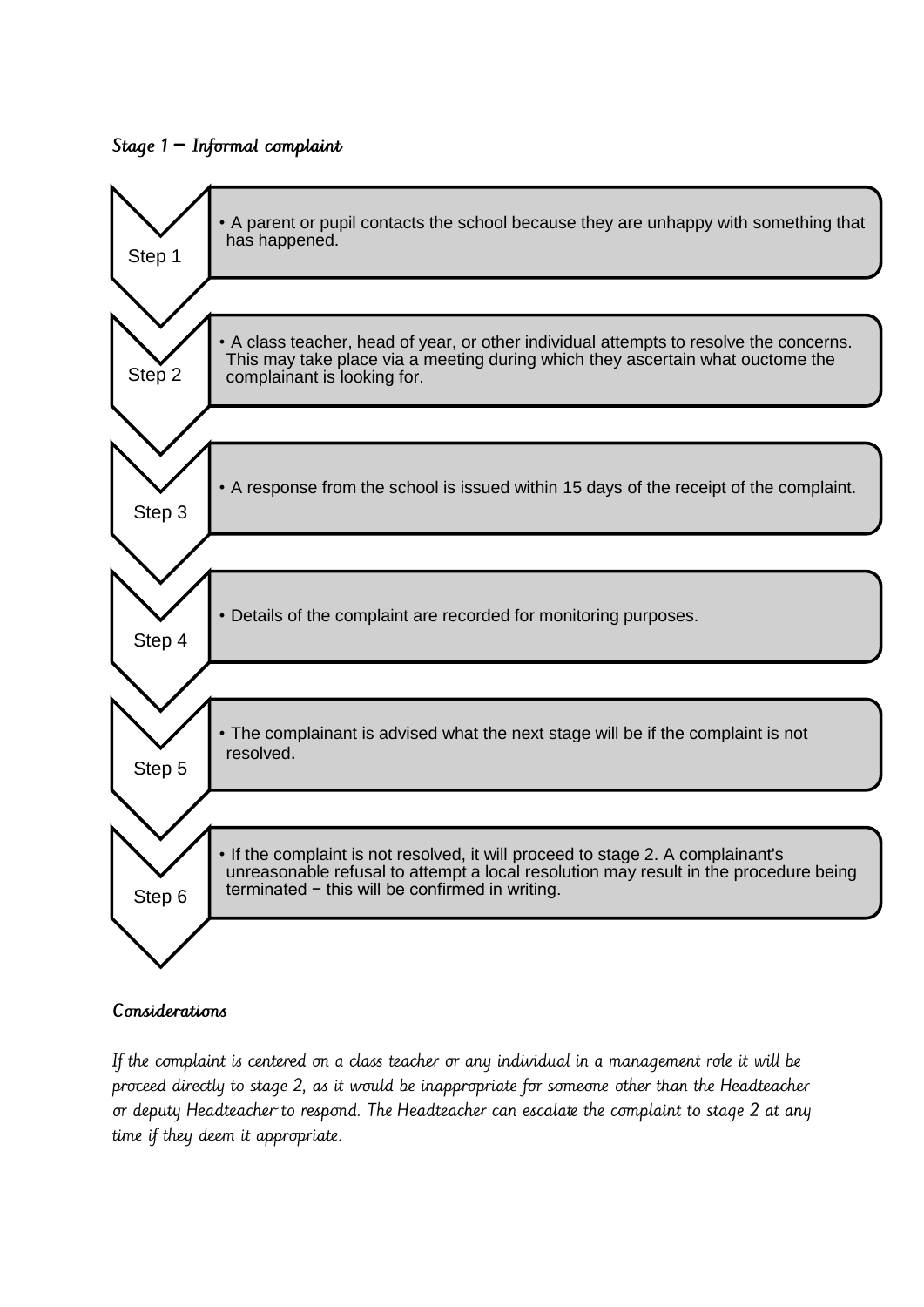## Stage 1 − Informal complaint



## Considerations

If the complaint is centered on a class teacher or any individual in a management role it will be proceed directly to stage 2, as it would be inappropriate for someone other than the Headteacher or deputy Headteacher to respond. The Headteacher can escalate the complaint to stage 2 at any time if they deem it appropriate.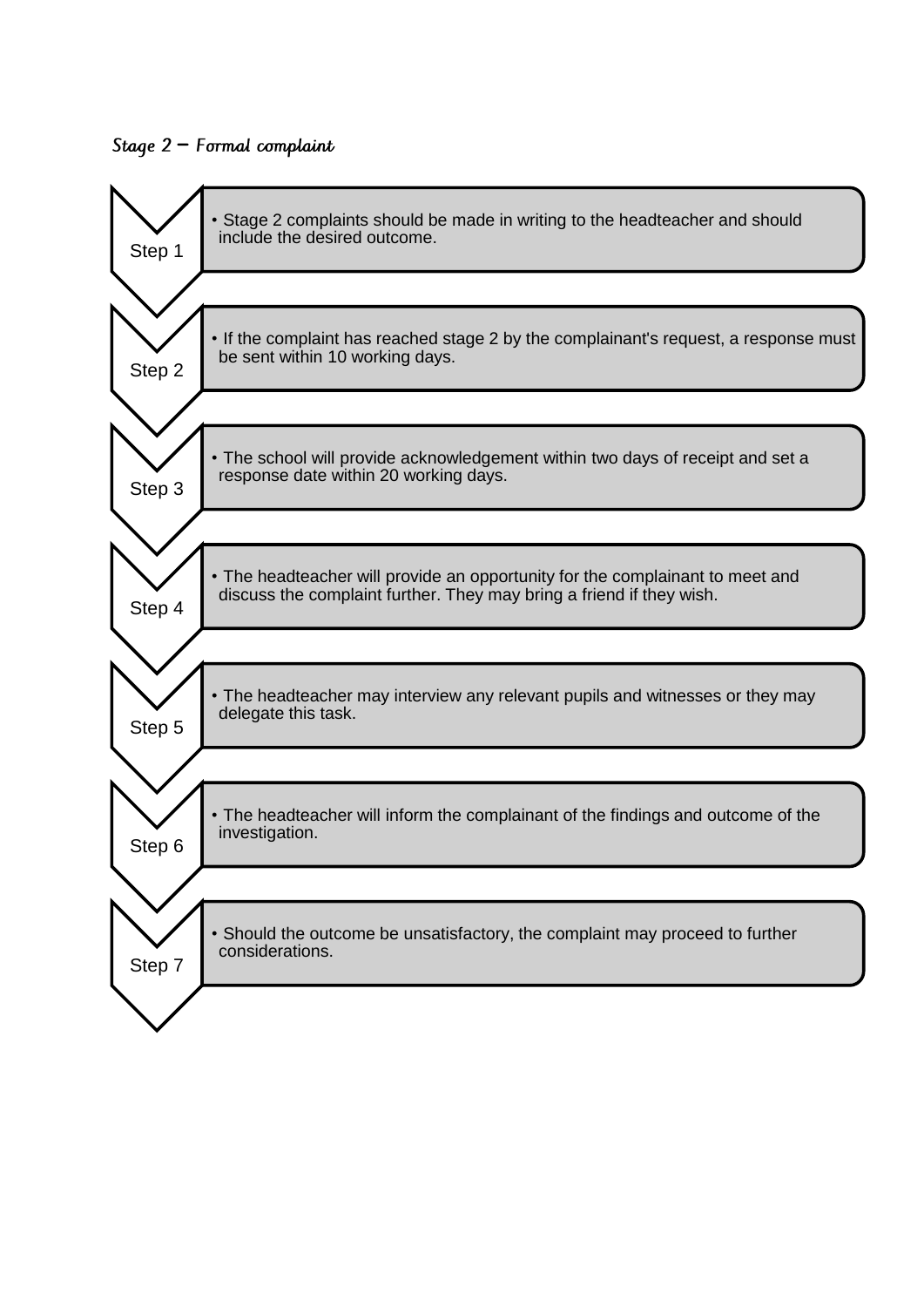#### Stage 2 − Formal complaint

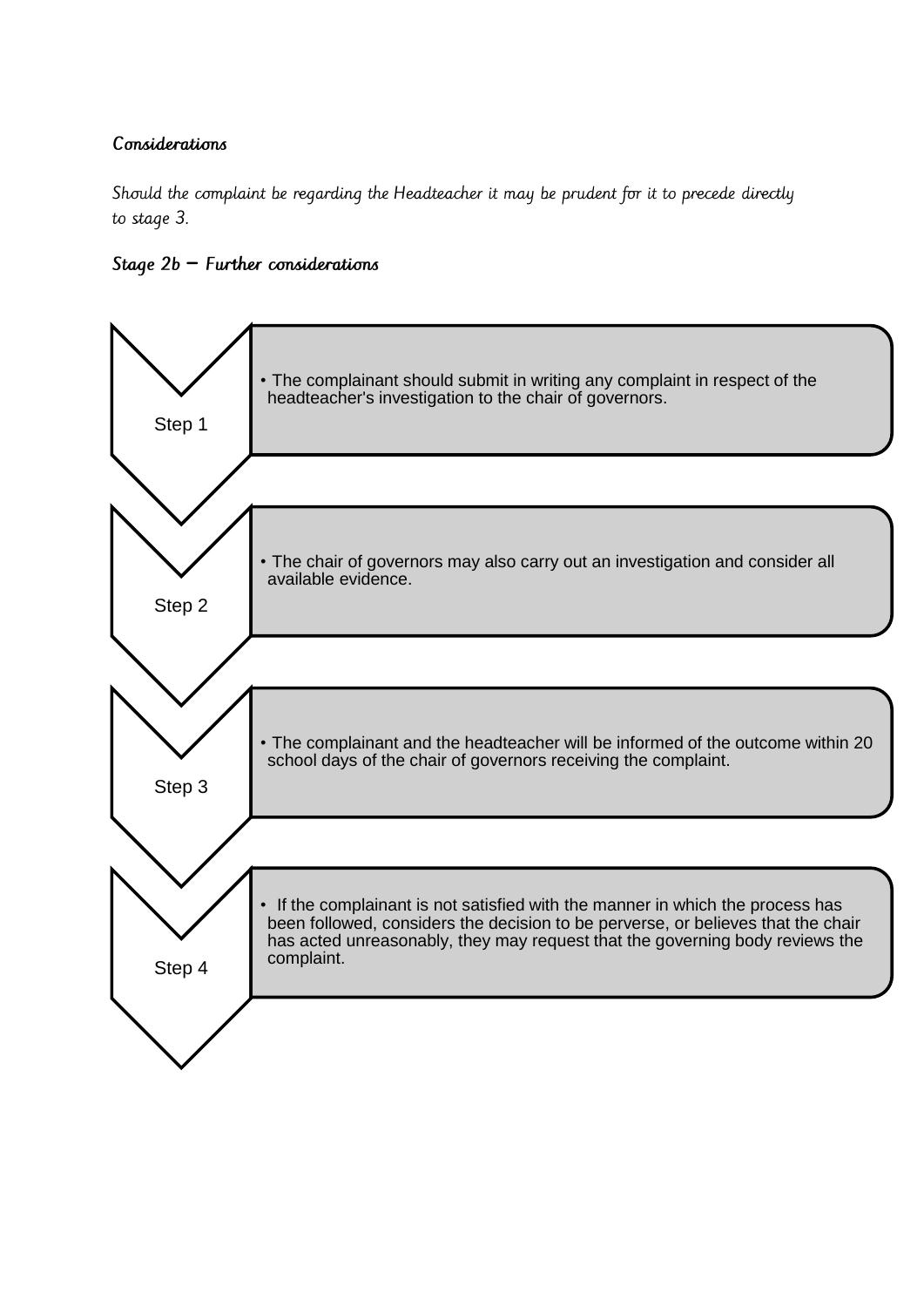#### Considerations

Should the complaint be regarding the Headteacher it may be prudent for it to precede directly to stage 3.